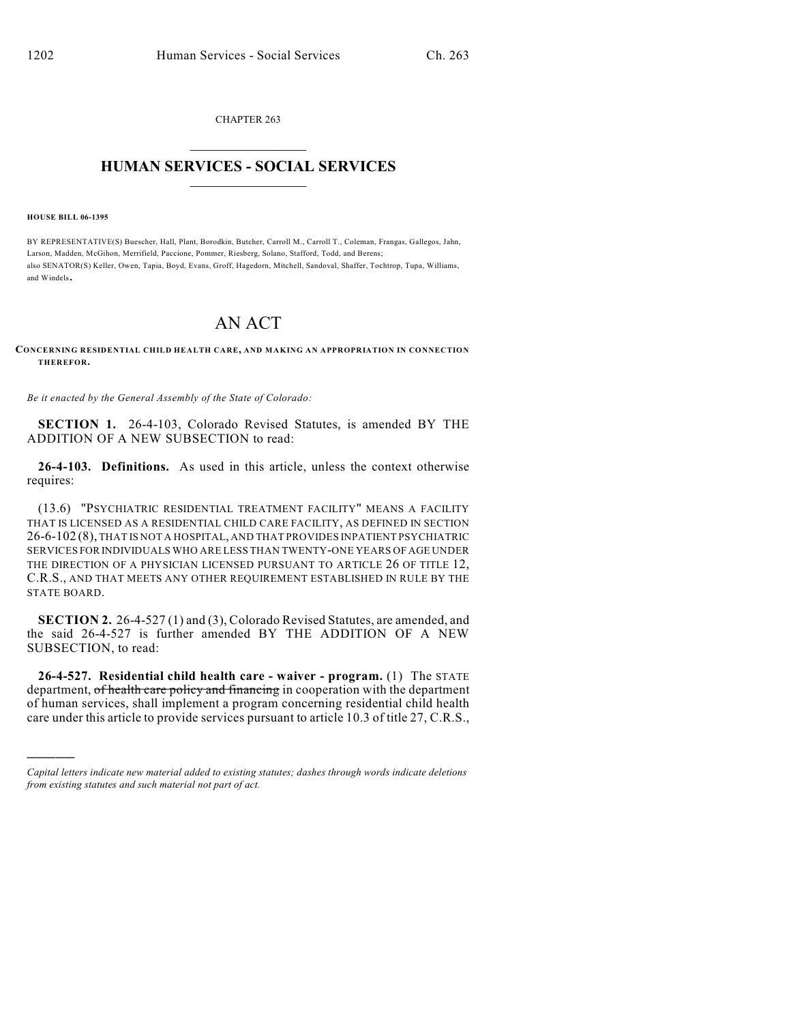CHAPTER 263  $\mathcal{L}_\text{max}$  . The set of the set of the set of the set of the set of the set of the set of the set of the set of the set of the set of the set of the set of the set of the set of the set of the set of the set of the set

## **HUMAN SERVICES - SOCIAL SERVICES**  $\frac{1}{2}$  ,  $\frac{1}{2}$  ,  $\frac{1}{2}$  ,  $\frac{1}{2}$  ,  $\frac{1}{2}$  ,  $\frac{1}{2}$  ,  $\frac{1}{2}$

**HOUSE BILL 06-1395**

)))))

BY REPRESENTATIVE(S) Buescher, Hall, Plant, Borodkin, Butcher, Carroll M., Carroll T., Coleman, Frangas, Gallegos, Jahn, Larson, Madden, McGihon, Merrifield, Paccione, Pommer, Riesberg, Solano, Stafford, Todd, and Berens; also SENATOR(S) Keller, Owen, Tapia, Boyd, Evans, Groff, Hagedorn, Mitchell, Sandoval, Shaffer, Tochtrop, Tupa, Williams, and Windels.

## AN ACT

## **CONCERNING RESIDENTIAL CHILD HEALTH CARE, AND MAKING AN APPROPRIATION IN CONNECTION THEREFOR.**

*Be it enacted by the General Assembly of the State of Colorado:*

**SECTION 1.** 26-4-103, Colorado Revised Statutes, is amended BY THE ADDITION OF A NEW SUBSECTION to read:

**26-4-103. Definitions.** As used in this article, unless the context otherwise requires:

(13.6) "PSYCHIATRIC RESIDENTIAL TREATMENT FACILITY" MEANS A FACILITY THAT IS LICENSED AS A RESIDENTIAL CHILD CARE FACILITY, AS DEFINED IN SECTION 26-6-102 (8), THAT IS NOT A HOSPITAL, AND THAT PROVIDES INPATIENT PSYCHIATRIC SERVICES FOR INDIVIDUALS WHO ARE LESS THAN TWENTY-ONE YEARS OF AGE UNDER THE DIRECTION OF A PHYSICIAN LICENSED PURSUANT TO ARTICLE 26 OF TITLE 12, C.R.S., AND THAT MEETS ANY OTHER REQUIREMENT ESTABLISHED IN RULE BY THE STATE BOARD.

**SECTION 2.** 26-4-527 (1) and (3), Colorado Revised Statutes, are amended, and the said 26-4-527 is further amended BY THE ADDITION OF A NEW SUBSECTION, to read:

**26-4-527. Residential child health care - waiver - program.** (1) The STATE department, of health care policy and financing in cooperation with the department of human services, shall implement a program concerning residential child health care under this article to provide services pursuant to article 10.3 of title 27, C.R.S.,

*Capital letters indicate new material added to existing statutes; dashes through words indicate deletions from existing statutes and such material not part of act.*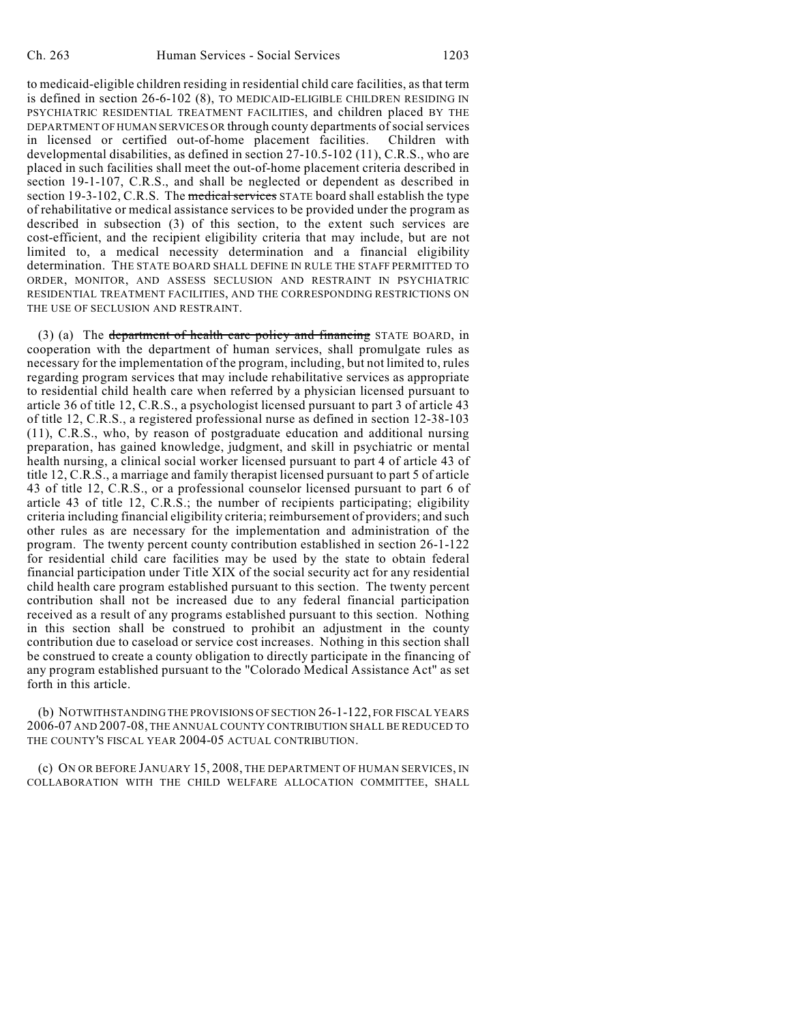to medicaid-eligible children residing in residential child care facilities, as that term is defined in section 26-6-102 (8), TO MEDICAID-ELIGIBLE CHILDREN RESIDING IN PSYCHIATRIC RESIDENTIAL TREATMENT FACILITIES, and children placed BY THE DEPARTMENT OF HUMAN SERVICES OR through county departments of social services in licensed or certified out-of-home placement facilities. Children with developmental disabilities, as defined in section 27-10.5-102 (11), C.R.S., who are placed in such facilities shall meet the out-of-home placement criteria described in section 19-1-107, C.R.S., and shall be neglected or dependent as described in section 19-3-102, C.R.S. The medical services STATE board shall establish the type of rehabilitative or medical assistance services to be provided under the program as described in subsection (3) of this section, to the extent such services are cost-efficient, and the recipient eligibility criteria that may include, but are not limited to, a medical necessity determination and a financial eligibility determination. THE STATE BOARD SHALL DEFINE IN RULE THE STAFF PERMITTED TO ORDER, MONITOR, AND ASSESS SECLUSION AND RESTRAINT IN PSYCHIATRIC RESIDENTIAL TREATMENT FACILITIES, AND THE CORRESPONDING RESTRICTIONS ON THE USE OF SECLUSION AND RESTRAINT.

(3) (a) The department of health care policy and financing STATE BOARD, in cooperation with the department of human services, shall promulgate rules as necessary for the implementation of the program, including, but not limited to, rules regarding program services that may include rehabilitative services as appropriate to residential child health care when referred by a physician licensed pursuant to article 36 of title 12, C.R.S., a psychologist licensed pursuant to part 3 of article 43 of title 12, C.R.S., a registered professional nurse as defined in section 12-38-103 (11), C.R.S., who, by reason of postgraduate education and additional nursing preparation, has gained knowledge, judgment, and skill in psychiatric or mental health nursing, a clinical social worker licensed pursuant to part 4 of article 43 of title 12, C.R.S., a marriage and family therapist licensed pursuant to part 5 of article 43 of title 12, C.R.S., or a professional counselor licensed pursuant to part 6 of article 43 of title 12, C.R.S.; the number of recipients participating; eligibility criteria including financial eligibility criteria; reimbursement of providers; and such other rules as are necessary for the implementation and administration of the program. The twenty percent county contribution established in section 26-1-122 for residential child care facilities may be used by the state to obtain federal financial participation under Title XIX of the social security act for any residential child health care program established pursuant to this section. The twenty percent contribution shall not be increased due to any federal financial participation received as a result of any programs established pursuant to this section. Nothing in this section shall be construed to prohibit an adjustment in the county contribution due to caseload or service cost increases. Nothing in this section shall be construed to create a county obligation to directly participate in the financing of any program established pursuant to the "Colorado Medical Assistance Act" as set forth in this article.

(b) NOTWITHSTANDING THE PROVISIONS OF SECTION 26-1-122, FOR FISCAL YEARS 2006-07 AND 2007-08, THE ANNUAL COUNTY CONTRIBUTION SHALL BE REDUCED TO THE COUNTY'S FISCAL YEAR 2004-05 ACTUAL CONTRIBUTION.

(c) ON OR BEFORE JANUARY 15, 2008, THE DEPARTMENT OF HUMAN SERVICES, IN COLLABORATION WITH THE CHILD WELFARE ALLOCATION COMMITTEE, SHALL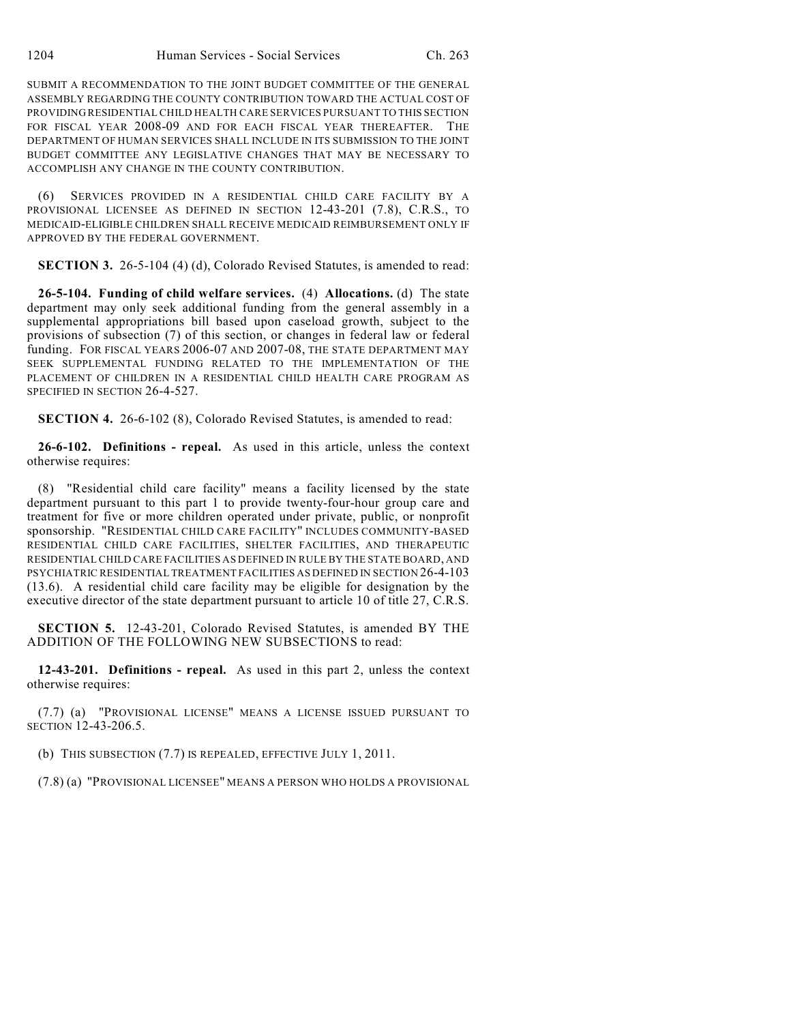SUBMIT A RECOMMENDATION TO THE JOINT BUDGET COMMITTEE OF THE GENERAL ASSEMBLY REGARDING THE COUNTY CONTRIBUTION TOWARD THE ACTUAL COST OF PROVIDING RESIDENTIAL CHILD HEALTH CARE SERVICES PURSUANT TO THIS SECTION FOR FISCAL YEAR 2008-09 AND FOR EACH FISCAL YEAR THEREAFTER. THE DEPARTMENT OF HUMAN SERVICES SHALL INCLUDE IN ITS SUBMISSION TO THE JOINT BUDGET COMMITTEE ANY LEGISLATIVE CHANGES THAT MAY BE NECESSARY TO ACCOMPLISH ANY CHANGE IN THE COUNTY CONTRIBUTION.

(6) SERVICES PROVIDED IN A RESIDENTIAL CHILD CARE FACILITY BY A PROVISIONAL LICENSEE AS DEFINED IN SECTION 12-43-201 (7.8), C.R.S., TO MEDICAID-ELIGIBLE CHILDREN SHALL RECEIVE MEDICAID REIMBURSEMENT ONLY IF APPROVED BY THE FEDERAL GOVERNMENT.

**SECTION 3.** 26-5-104 (4) (d), Colorado Revised Statutes, is amended to read:

**26-5-104. Funding of child welfare services.** (4) **Allocations.** (d) The state department may only seek additional funding from the general assembly in a supplemental appropriations bill based upon caseload growth, subject to the provisions of subsection (7) of this section, or changes in federal law or federal funding. FOR FISCAL YEARS 2006-07 AND 2007-08, THE STATE DEPARTMENT MAY SEEK SUPPLEMENTAL FUNDING RELATED TO THE IMPLEMENTATION OF THE PLACEMENT OF CHILDREN IN A RESIDENTIAL CHILD HEALTH CARE PROGRAM AS SPECIFIED IN SECTION 26-4-527.

**SECTION 4.** 26-6-102 (8), Colorado Revised Statutes, is amended to read:

**26-6-102. Definitions - repeal.** As used in this article, unless the context otherwise requires:

(8) "Residential child care facility" means a facility licensed by the state department pursuant to this part 1 to provide twenty-four-hour group care and treatment for five or more children operated under private, public, or nonprofit sponsorship. "RESIDENTIAL CHILD CARE FACILITY" INCLUDES COMMUNITY-BASED RESIDENTIAL CHILD CARE FACILITIES, SHELTER FACILITIES, AND THERAPEUTIC RESIDENTIAL CHILD CARE FACILITIES AS DEFINED IN RULE BY THE STATE BOARD, AND PSYCHIATRIC RESIDENTIAL TREATMENT FACILITIES AS DEFINED IN SECTION 26-4-103 (13.6). A residential child care facility may be eligible for designation by the executive director of the state department pursuant to article 10 of title 27, C.R.S.

**SECTION 5.** 12-43-201, Colorado Revised Statutes, is amended BY THE ADDITION OF THE FOLLOWING NEW SUBSECTIONS to read:

**12-43-201. Definitions - repeal.** As used in this part 2, unless the context otherwise requires:

(7.7) (a) "PROVISIONAL LICENSE" MEANS A LICENSE ISSUED PURSUANT TO SECTION 12-43-206.5.

(b) THIS SUBSECTION (7.7) IS REPEALED, EFFECTIVE JULY 1, 2011.

(7.8) (a) "PROVISIONAL LICENSEE" MEANS A PERSON WHO HOLDS A PROVISIONAL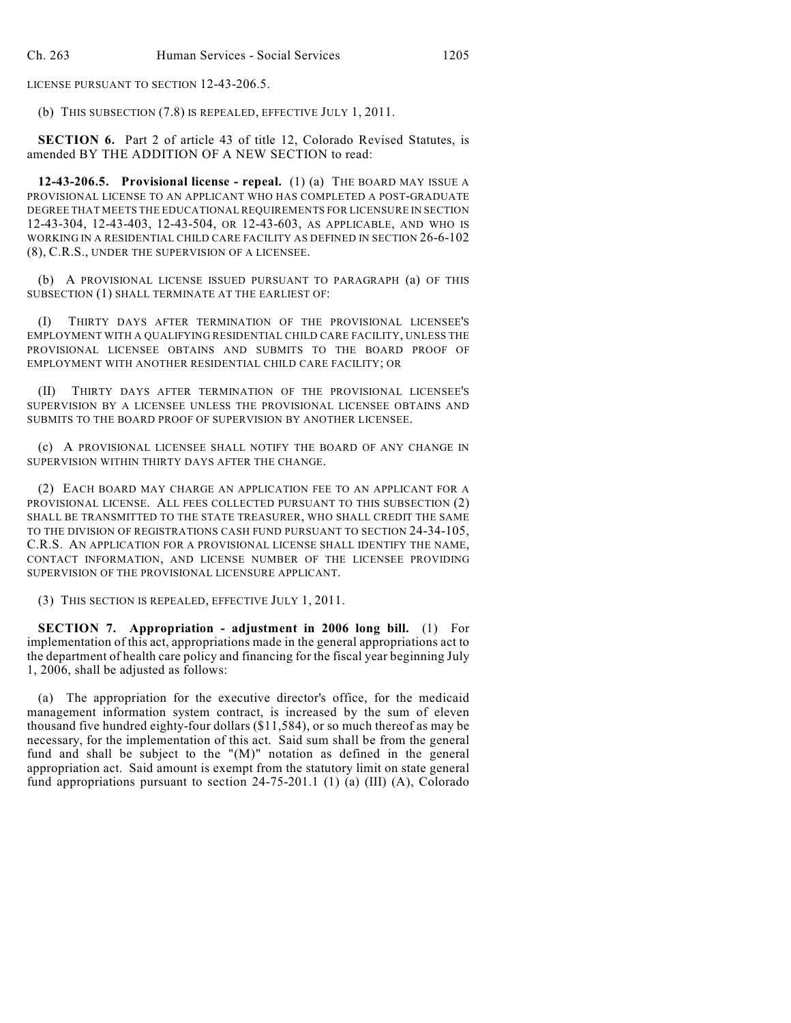LICENSE PURSUANT TO SECTION 12-43-206.5.

(b) THIS SUBSECTION (7.8) IS REPEALED, EFFECTIVE JULY 1, 2011.

**SECTION 6.** Part 2 of article 43 of title 12, Colorado Revised Statutes, is amended BY THE ADDITION OF A NEW SECTION to read:

**12-43-206.5. Provisional license - repeal.** (1) (a) THE BOARD MAY ISSUE A PROVISIONAL LICENSE TO AN APPLICANT WHO HAS COMPLETED A POST-GRADUATE DEGREE THAT MEETS THE EDUCATIONAL REQUIREMENTS FOR LICENSURE IN SECTION 12-43-304, 12-43-403, 12-43-504, OR 12-43-603, AS APPLICABLE, AND WHO IS WORKING IN A RESIDENTIAL CHILD CARE FACILITY AS DEFINED IN SECTION 26-6-102 (8), C.R.S., UNDER THE SUPERVISION OF A LICENSEE.

(b) A PROVISIONAL LICENSE ISSUED PURSUANT TO PARAGRAPH (a) OF THIS SUBSECTION (1) SHALL TERMINATE AT THE EARLIEST OF:

(I) THIRTY DAYS AFTER TERMINATION OF THE PROVISIONAL LICENSEE'S EMPLOYMENT WITH A QUALIFYING RESIDENTIAL CHILD CARE FACILITY, UNLESS THE PROVISIONAL LICENSEE OBTAINS AND SUBMITS TO THE BOARD PROOF OF EMPLOYMENT WITH ANOTHER RESIDENTIAL CHILD CARE FACILITY; OR

(II) THIRTY DAYS AFTER TERMINATION OF THE PROVISIONAL LICENSEE'S SUPERVISION BY A LICENSEE UNLESS THE PROVISIONAL LICENSEE OBTAINS AND SUBMITS TO THE BOARD PROOF OF SUPERVISION BY ANOTHER LICENSEE.

(c) A PROVISIONAL LICENSEE SHALL NOTIFY THE BOARD OF ANY CHANGE IN SUPERVISION WITHIN THIRTY DAYS AFTER THE CHANGE.

(2) EACH BOARD MAY CHARGE AN APPLICATION FEE TO AN APPLICANT FOR A PROVISIONAL LICENSE. ALL FEES COLLECTED PURSUANT TO THIS SUBSECTION (2) SHALL BE TRANSMITTED TO THE STATE TREASURER, WHO SHALL CREDIT THE SAME TO THE DIVISION OF REGISTRATIONS CASH FUND PURSUANT TO SECTION 24-34-105, C.R.S. AN APPLICATION FOR A PROVISIONAL LICENSE SHALL IDENTIFY THE NAME, CONTACT INFORMATION, AND LICENSE NUMBER OF THE LICENSEE PROVIDING SUPERVISION OF THE PROVISIONAL LICENSURE APPLICANT.

(3) THIS SECTION IS REPEALED, EFFECTIVE JULY 1, 2011.

**SECTION 7. Appropriation - adjustment in 2006 long bill.** (1) For implementation of this act, appropriations made in the general appropriations act to the department of health care policy and financing for the fiscal year beginning July 1, 2006, shall be adjusted as follows:

(a) The appropriation for the executive director's office, for the medicaid management information system contract, is increased by the sum of eleven thousand five hundred eighty-four dollars (\$11,584), or so much thereof as may be necessary, for the implementation of this act. Said sum shall be from the general fund and shall be subject to the "(M)" notation as defined in the general appropriation act. Said amount is exempt from the statutory limit on state general fund appropriations pursuant to section 24-75-201.1 (1) (a) (III) (A), Colorado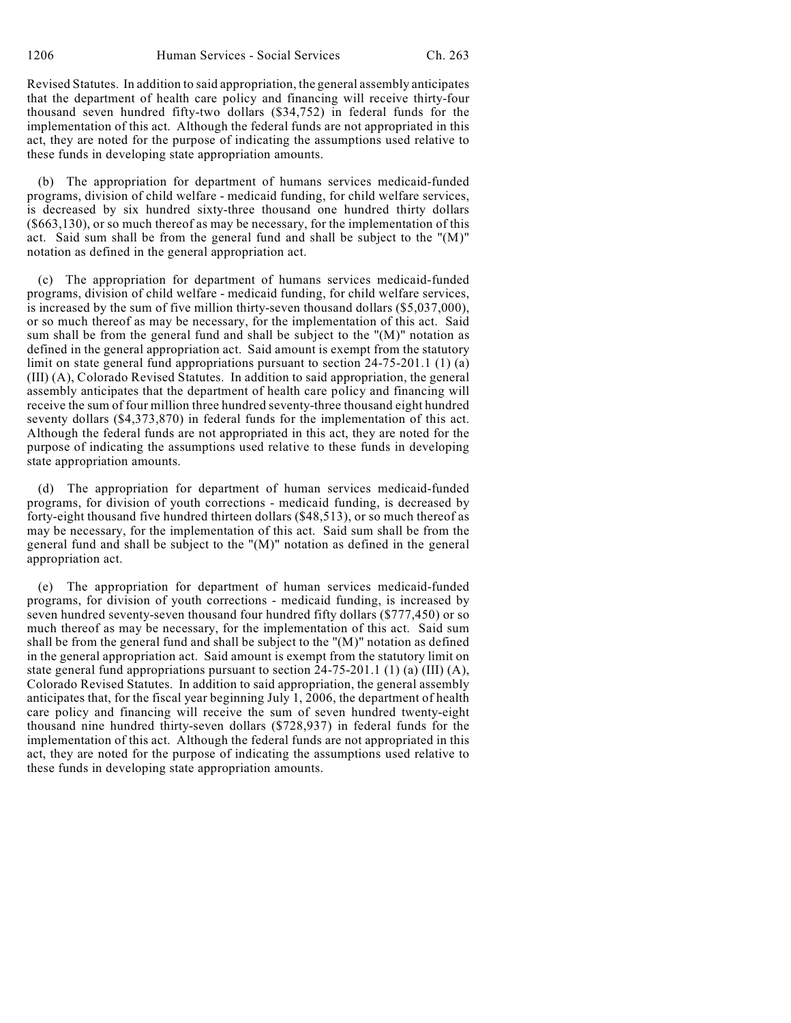Revised Statutes. In addition to said appropriation, the general assembly anticipates that the department of health care policy and financing will receive thirty-four thousand seven hundred fifty-two dollars (\$34,752) in federal funds for the implementation of this act. Although the federal funds are not appropriated in this act, they are noted for the purpose of indicating the assumptions used relative to these funds in developing state appropriation amounts.

(b) The appropriation for department of humans services medicaid-funded programs, division of child welfare - medicaid funding, for child welfare services, is decreased by six hundred sixty-three thousand one hundred thirty dollars (\$663,130), or so much thereof as may be necessary, for the implementation of this act. Said sum shall be from the general fund and shall be subject to the "(M)" notation as defined in the general appropriation act.

(c) The appropriation for department of humans services medicaid-funded programs, division of child welfare - medicaid funding, for child welfare services, is increased by the sum of five million thirty-seven thousand dollars (\$5,037,000), or so much thereof as may be necessary, for the implementation of this act. Said sum shall be from the general fund and shall be subject to the "(M)" notation as defined in the general appropriation act. Said amount is exempt from the statutory limit on state general fund appropriations pursuant to section 24-75-201.1 (1) (a) (III) (A), Colorado Revised Statutes. In addition to said appropriation, the general assembly anticipates that the department of health care policy and financing will receive the sum of four million three hundred seventy-three thousand eight hundred seventy dollars (\$4,373,870) in federal funds for the implementation of this act. Although the federal funds are not appropriated in this act, they are noted for the purpose of indicating the assumptions used relative to these funds in developing state appropriation amounts.

(d) The appropriation for department of human services medicaid-funded programs, for division of youth corrections - medicaid funding, is decreased by forty-eight thousand five hundred thirteen dollars (\$48,513), or so much thereof as may be necessary, for the implementation of this act. Said sum shall be from the general fund and shall be subject to the "(M)" notation as defined in the general appropriation act.

(e) The appropriation for department of human services medicaid-funded programs, for division of youth corrections - medicaid funding, is increased by seven hundred seventy-seven thousand four hundred fifty dollars (\$777,450) or so much thereof as may be necessary, for the implementation of this act. Said sum shall be from the general fund and shall be subject to the "(M)" notation as defined in the general appropriation act. Said amount is exempt from the statutory limit on state general fund appropriations pursuant to section 24-75-201.1 (1) (a) (III) (A), Colorado Revised Statutes. In addition to said appropriation, the general assembly anticipates that, for the fiscal year beginning July 1, 2006, the department of health care policy and financing will receive the sum of seven hundred twenty-eight thousand nine hundred thirty-seven dollars (\$728,937) in federal funds for the implementation of this act. Although the federal funds are not appropriated in this act, they are noted for the purpose of indicating the assumptions used relative to these funds in developing state appropriation amounts.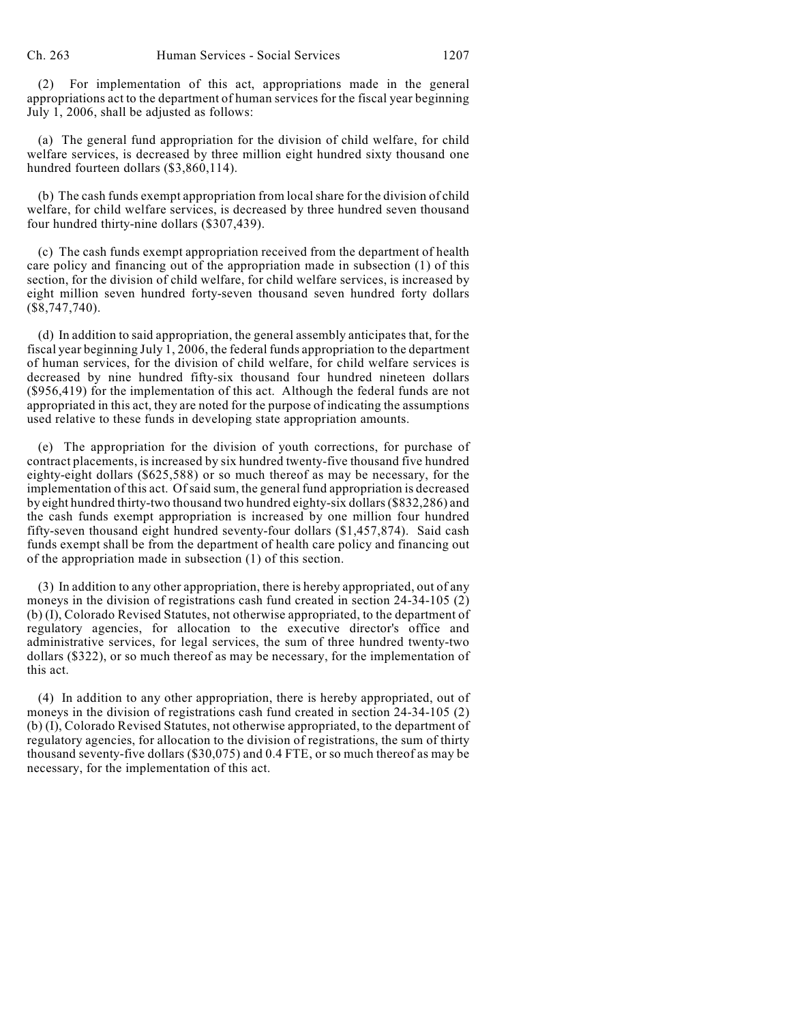(2) For implementation of this act, appropriations made in the general appropriations act to the department of human services for the fiscal year beginning July 1, 2006, shall be adjusted as follows:

(a) The general fund appropriation for the division of child welfare, for child welfare services, is decreased by three million eight hundred sixty thousand one hundred fourteen dollars (\$3,860,114).

(b) The cash funds exempt appropriation from local share for the division of child welfare, for child welfare services, is decreased by three hundred seven thousand four hundred thirty-nine dollars (\$307,439).

(c) The cash funds exempt appropriation received from the department of health care policy and financing out of the appropriation made in subsection (1) of this section, for the division of child welfare, for child welfare services, is increased by eight million seven hundred forty-seven thousand seven hundred forty dollars (\$8,747,740).

(d) In addition to said appropriation, the general assembly anticipates that, for the fiscal year beginning July 1, 2006, the federal funds appropriation to the department of human services, for the division of child welfare, for child welfare services is decreased by nine hundred fifty-six thousand four hundred nineteen dollars (\$956,419) for the implementation of this act. Although the federal funds are not appropriated in this act, they are noted for the purpose of indicating the assumptions used relative to these funds in developing state appropriation amounts.

(e) The appropriation for the division of youth corrections, for purchase of contract placements, is increased by six hundred twenty-five thousand five hundred eighty-eight dollars (\$625,588) or so much thereof as may be necessary, for the implementation of this act. Of said sum, the general fund appropriation is decreased by eight hundred thirty-two thousand two hundred eighty-six dollars (\$832,286) and the cash funds exempt appropriation is increased by one million four hundred fifty-seven thousand eight hundred seventy-four dollars (\$1,457,874). Said cash funds exempt shall be from the department of health care policy and financing out of the appropriation made in subsection (1) of this section.

(3) In addition to any other appropriation, there is hereby appropriated, out of any moneys in the division of registrations cash fund created in section 24-34-105 (2) (b) (I), Colorado Revised Statutes, not otherwise appropriated, to the department of regulatory agencies, for allocation to the executive director's office and administrative services, for legal services, the sum of three hundred twenty-two dollars (\$322), or so much thereof as may be necessary, for the implementation of this act.

(4) In addition to any other appropriation, there is hereby appropriated, out of moneys in the division of registrations cash fund created in section 24-34-105 (2) (b) (I), Colorado Revised Statutes, not otherwise appropriated, to the department of regulatory agencies, for allocation to the division of registrations, the sum of thirty thousand seventy-five dollars (\$30,075) and 0.4 FTE, or so much thereof as may be necessary, for the implementation of this act.